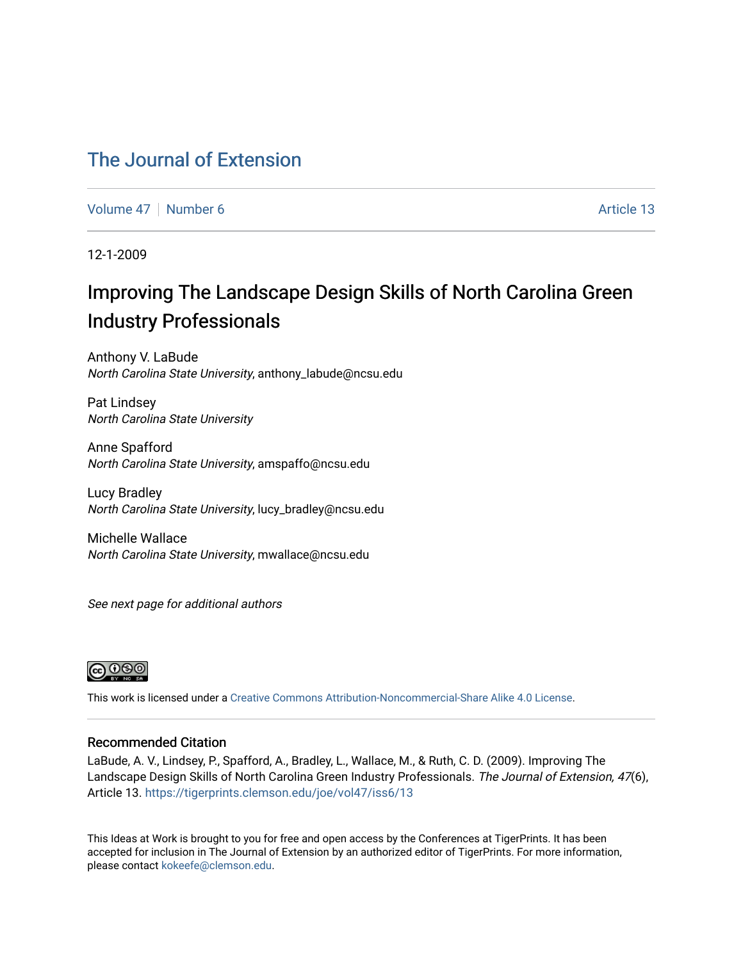## [The Journal of Extension](https://tigerprints.clemson.edu/joe)

[Volume 47](https://tigerprints.clemson.edu/joe/vol47) | [Number 6](https://tigerprints.clemson.edu/joe/vol47/iss6) Article 13

12-1-2009

# Improving The Landscape Design Skills of North Carolina Green Industry Professionals

Anthony V. LaBude North Carolina State University, anthony\_labude@ncsu.edu

Pat Lindsey North Carolina State University

Anne Spafford North Carolina State University, amspaffo@ncsu.edu

Lucy Bradley North Carolina State University, lucy\_bradley@ncsu.edu

Michelle Wallace North Carolina State University, mwallace@ncsu.edu

See next page for additional authors



This work is licensed under a [Creative Commons Attribution-Noncommercial-Share Alike 4.0 License.](https://creativecommons.org/licenses/by-nc-sa/4.0/)

#### Recommended Citation

LaBude, A. V., Lindsey, P., Spafford, A., Bradley, L., Wallace, M., & Ruth, C. D. (2009). Improving The Landscape Design Skills of North Carolina Green Industry Professionals. The Journal of Extension, 47(6), Article 13. <https://tigerprints.clemson.edu/joe/vol47/iss6/13>

This Ideas at Work is brought to you for free and open access by the Conferences at TigerPrints. It has been accepted for inclusion in The Journal of Extension by an authorized editor of TigerPrints. For more information, please contact [kokeefe@clemson.edu](mailto:kokeefe@clemson.edu).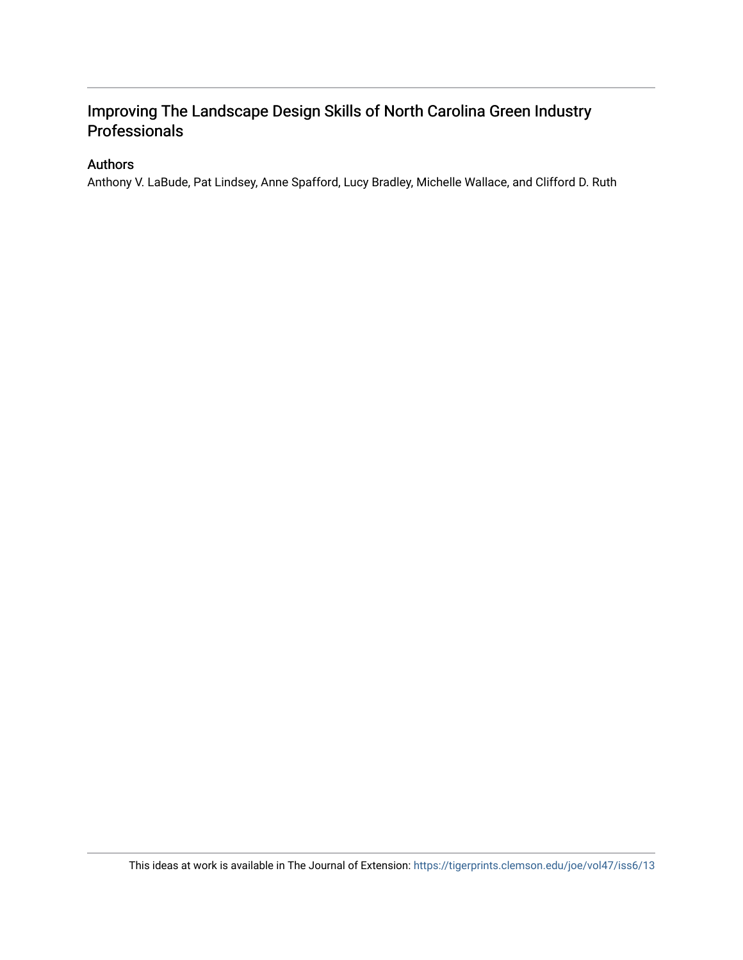### Improving The Landscape Design Skills of North Carolina Green Industry Professionals

#### Authors

Anthony V. LaBude, Pat Lindsey, Anne Spafford, Lucy Bradley, Michelle Wallace, and Clifford D. Ruth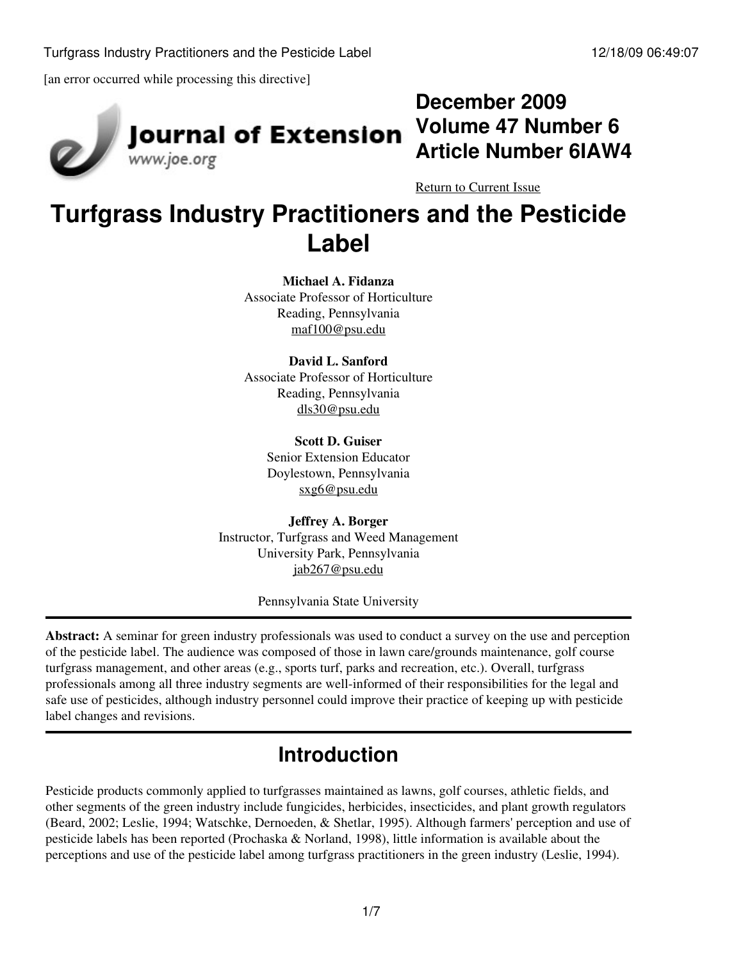

# Journal of Extension

**December 2009 Volume 47 Number 6 Article Number 6IAW4**

[Return to Current Issue](http://www.joe.org:80/joe/2009december/)

# **Turfgrass Industry Practitioners and the Pesticide Label**

**Michael A. Fidanza** Associate Professor of Horticulture Reading, Pennsylvania [maf100@psu.edu](mailto:maf100@psu.edu)

**David L. Sanford** Associate Professor of Horticulture Reading, Pennsylvania [dls30@psu.edu](mailto:dls30@psu.edu)

> **Scott D. Guiser** Senior Extension Educator Doylestown, Pennsylvania [sxg6@psu.edu](mailto:sxg6@psu.edu)

**Jeffrey A. Borger** Instructor, Turfgrass and Weed Management University Park, Pennsylvania [jab267@psu.edu](mailto:jab267@psu.edu)

Pennsylvania State University

**Abstract:** A seminar for green industry professionals was used to conduct a survey on the use and perception of the pesticide label. The audience was composed of those in lawn care/grounds maintenance, golf course turfgrass management, and other areas (e.g., sports turf, parks and recreation, etc.). Overall, turfgrass professionals among all three industry segments are well-informed of their responsibilities for the legal and safe use of pesticides, although industry personnel could improve their practice of keeping up with pesticide label changes and revisions.

# **Introduction**

Pesticide products commonly applied to turfgrasses maintained as lawns, golf courses, athletic fields, and other segments of the green industry include fungicides, herbicides, insecticides, and plant growth regulators (Beard, 2002; Leslie, 1994; Watschke, Dernoeden, & Shetlar, 1995). Although farmers' perception and use of pesticide labels has been reported (Prochaska & Norland, 1998), little information is available about the perceptions and use of the pesticide label among turfgrass practitioners in the green industry (Leslie, 1994).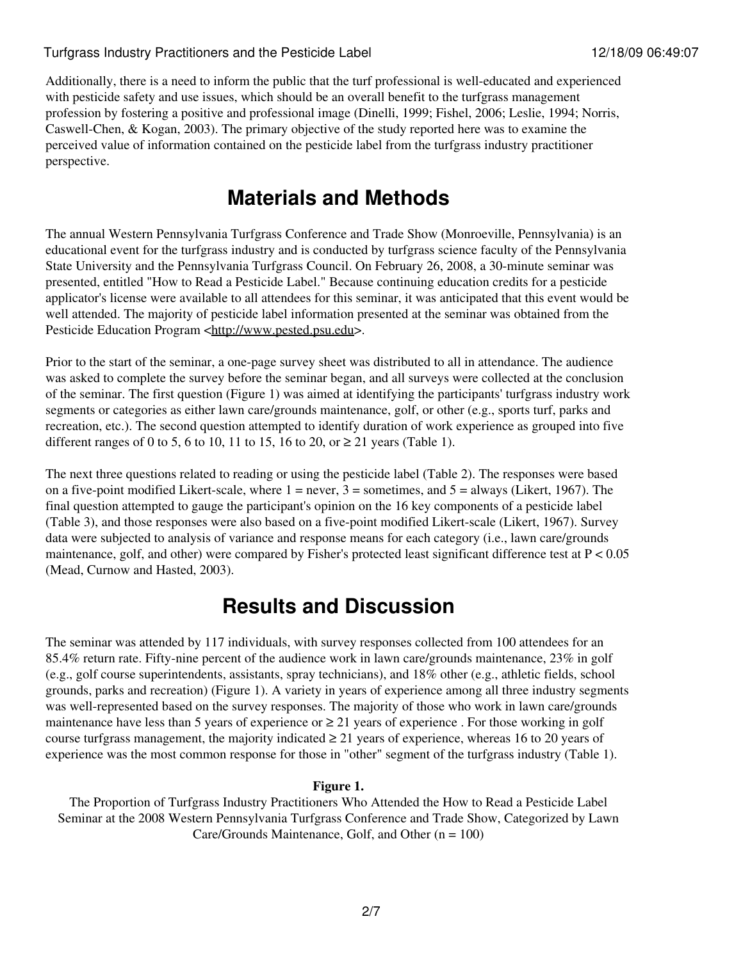#### Turfgrass Industry Practitioners and the Pesticide Label 12/18/09 06:49:07

Additionally, there is a need to inform the public that the turf professional is well-educated and experienced with pesticide safety and use issues, which should be an overall benefit to the turfgrass management profession by fostering a positive and professional image (Dinelli, 1999; Fishel, 2006; Leslie, 1994; Norris, Caswell-Chen, & Kogan, 2003). The primary objective of the study reported here was to examine the perceived value of information contained on the pesticide label from the turfgrass industry practitioner perspective.

## **Materials and Methods**

The annual Western Pennsylvania Turfgrass Conference and Trade Show (Monroeville, Pennsylvania) is an educational event for the turfgrass industry and is conducted by turfgrass science faculty of the Pennsylvania State University and the Pennsylvania Turfgrass Council. On February 26, 2008, a 30-minute seminar was presented, entitled "How to Read a Pesticide Label." Because continuing education credits for a pesticide applicator's license were available to all attendees for this seminar, it was anticipated that this event would be well attended. The majority of pesticide label information presented at the seminar was obtained from the Pesticide Education Program [<http://www.pested.psu.edu>](http://www.pested.psu.edu).

Prior to the start of the seminar, a one-page survey sheet was distributed to all in attendance. The audience was asked to complete the survey before the seminar began, and all surveys were collected at the conclusion of the seminar. The first question (Figure 1) was aimed at identifying the participants' turfgrass industry work segments or categories as either lawn care/grounds maintenance, golf, or other (e.g., sports turf, parks and recreation, etc.). The second question attempted to identify duration of work experience as grouped into five different ranges of 0 to 5, 6 to 10, 11 to 15, 16 to 20, or  $\geq$  21 years (Table 1).

The next three questions related to reading or using the pesticide label (Table 2). The responses were based on a five-point modified Likert-scale, where  $1 =$  never,  $3 =$  sometimes, and  $5 =$  always (Likert, 1967). The final question attempted to gauge the participant's opinion on the 16 key components of a pesticide label (Table 3), and those responses were also based on a five-point modified Likert-scale (Likert, 1967). Survey data were subjected to analysis of variance and response means for each category (i.e., lawn care/grounds maintenance, golf, and other) were compared by Fisher's protected least significant difference test at P < 0.05 (Mead, Curnow and Hasted, 2003).

## **Results and Discussion**

The seminar was attended by 117 individuals, with survey responses collected from 100 attendees for an 85.4% return rate. Fifty-nine percent of the audience work in lawn care/grounds maintenance, 23% in golf (e.g., golf course superintendents, assistants, spray technicians), and 18% other (e.g., athletic fields, school grounds, parks and recreation) (Figure 1). A variety in years of experience among all three industry segments was well-represented based on the survey responses. The majority of those who work in lawn care/grounds maintenance have less than 5 years of experience or  $\geq 21$  years of experience. For those working in golf course turfgrass management, the majority indicated  $\geq$  21 years of experience, whereas 16 to 20 years of experience was the most common response for those in "other" segment of the turfgrass industry (Table 1).

#### **Figure 1.**

The Proportion of Turfgrass Industry Practitioners Who Attended the How to Read a Pesticide Label Seminar at the 2008 Western Pennsylvania Turfgrass Conference and Trade Show, Categorized by Lawn Care/Grounds Maintenance, Golf, and Other  $(n = 100)$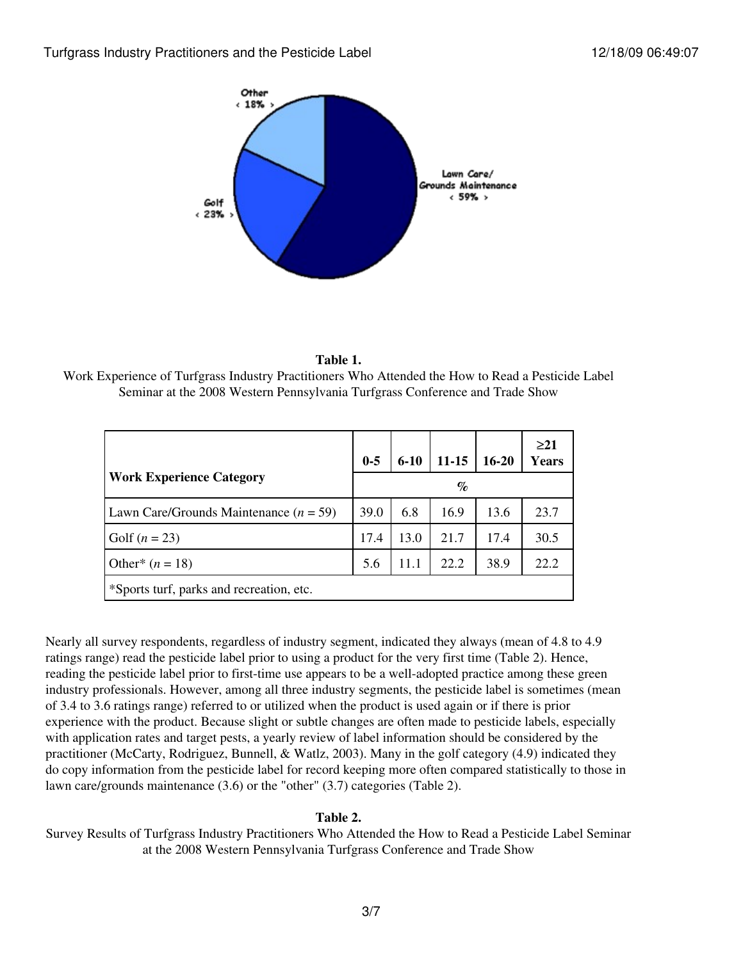



Work Experience of Turfgrass Industry Practitioners Who Attended the How to Read a Pesticide Label Seminar at the 2008 Western Pennsylvania Turfgrass Conference and Trade Show

|                                          | $0 - 5$ | $6 - 10$ | $11 - 15$ | $16 - 20$ | $\geq$ 21<br><b>Years</b> |
|------------------------------------------|---------|----------|-----------|-----------|---------------------------|
| <b>Work Experience Category</b>          | $\%$    |          |           |           |                           |
| Lawn Care/Grounds Maintenance $(n = 59)$ | 39.0    | 6.8      | 16.9      | 13.6      | 23.7                      |
| Golf $(n = 23)$                          | 17.4    | 13.0     | 21.7      | 17.4      | 30.5                      |
| Other* $(n = 18)$                        | 5.6     | 11.1     | 22.2      | 38.9      | 22.2                      |
| *Sports turf, parks and recreation, etc. |         |          |           |           |                           |

Nearly all survey respondents, regardless of industry segment, indicated they always (mean of 4.8 to 4.9 ratings range) read the pesticide label prior to using a product for the very first time (Table 2). Hence, reading the pesticide label prior to first-time use appears to be a well-adopted practice among these green industry professionals. However, among all three industry segments, the pesticide label is sometimes (mean of 3.4 to 3.6 ratings range) referred to or utilized when the product is used again or if there is prior experience with the product. Because slight or subtle changes are often made to pesticide labels, especially with application rates and target pests, a yearly review of label information should be considered by the practitioner (McCarty, Rodriguez, Bunnell, & Watlz, 2003). Many in the golf category (4.9) indicated they do copy information from the pesticide label for record keeping more often compared statistically to those in lawn care/grounds maintenance (3.6) or the "other" (3.7) categories (Table 2).

#### **Table 2.**

Survey Results of Turfgrass Industry Practitioners Who Attended the How to Read a Pesticide Label Seminar at the 2008 Western Pennsylvania Turfgrass Conference and Trade Show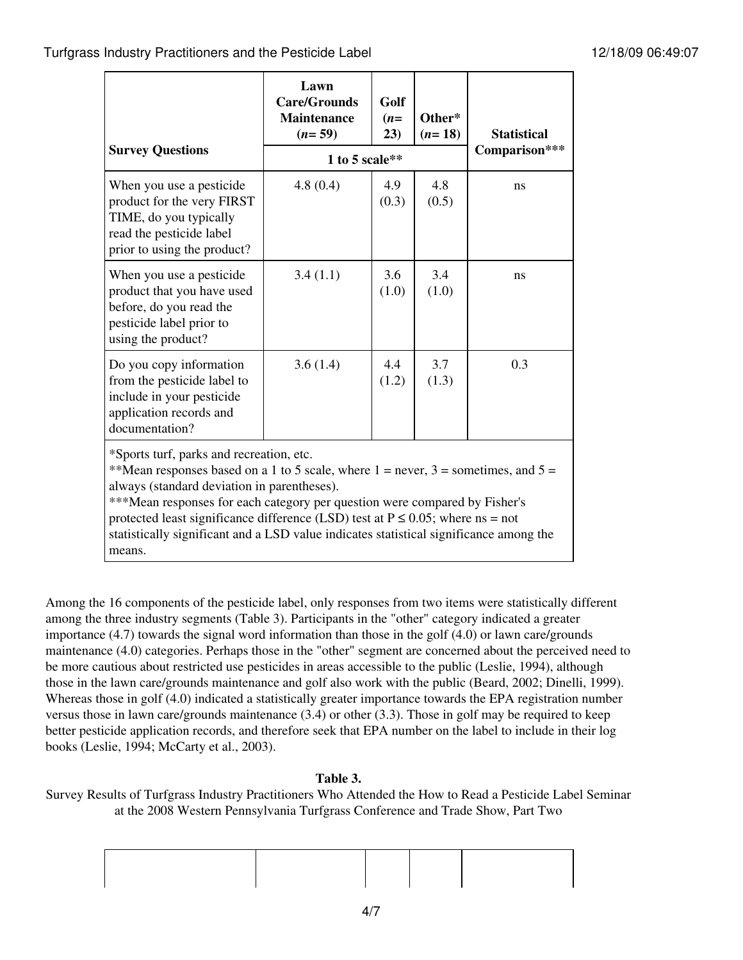|                                                                                                                                                                                                                                                                                                                                                                                                                                                             | Lawn<br><b>Care/Grounds</b><br><b>Maintenance</b><br>$(n=59)$ | Golf<br>$(n=$<br>23) | Other*<br>$(n=18)$ | <b>Statistical</b> |  |
|-------------------------------------------------------------------------------------------------------------------------------------------------------------------------------------------------------------------------------------------------------------------------------------------------------------------------------------------------------------------------------------------------------------------------------------------------------------|---------------------------------------------------------------|----------------------|--------------------|--------------------|--|
| <b>Survey Questions</b>                                                                                                                                                                                                                                                                                                                                                                                                                                     | 1 to 5 scale $**$                                             | Comparison***        |                    |                    |  |
| When you use a pesticide.<br>product for the very FIRST<br>TIME, do you typically<br>read the pesticide label<br>prior to using the product?                                                                                                                                                                                                                                                                                                                | 4.8(0.4)                                                      | 4.9<br>(0.3)         | 4.8<br>(0.5)       | ns                 |  |
| When you use a pesticide.<br>product that you have used<br>before, do you read the<br>pesticide label prior to<br>using the product?                                                                                                                                                                                                                                                                                                                        | 3.4(1.1)                                                      | 3.6<br>(1.0)         | 3.4<br>(1.0)       | ns                 |  |
| Do you copy information<br>from the pesticide label to<br>include in your pesticide<br>application records and<br>documentation?                                                                                                                                                                                                                                                                                                                            | 3.6(1.4)                                                      | 4.4<br>(1.2)         | 3.7<br>(1.3)       | 0.3                |  |
| *Sports turf, parks and recreation, etc.<br>**Mean responses based on a 1 to 5 scale, where $1 =$ never, $3 =$ sometimes, and $5 =$<br>always (standard deviation in parentheses).<br>***Mean responses for each category per question were compared by Fisher's<br>protected least significance difference (LSD) test at $P \le 0.05$ ; where ns = not<br>statistically significant and a LSD value indicates statistical significance among the<br>means. |                                                               |                      |                    |                    |  |

Among the 16 components of the pesticide label, only responses from two items were statistically different among the three industry segments (Table 3). Participants in the "other" category indicated a greater importance (4.7) towards the signal word information than those in the golf (4.0) or lawn care/grounds maintenance (4.0) categories. Perhaps those in the "other" segment are concerned about the perceived need to be more cautious about restricted use pesticides in areas accessible to the public (Leslie, 1994), although those in the lawn care/grounds maintenance and golf also work with the public (Beard, 2002; Dinelli, 1999). Whereas those in golf (4.0) indicated a statistically greater importance towards the EPA registration number versus those in lawn care/grounds maintenance (3.4) or other (3.3). Those in golf may be required to keep better pesticide application records, and therefore seek that EPA number on the label to include in their log books (Leslie, 1994; McCarty et al., 2003).

#### **Table 3.**

Survey Results of Turfgrass Industry Practitioners Who Attended the How to Read a Pesticide Label Seminar at the 2008 Western Pennsylvania Turfgrass Conference and Trade Show, Part Two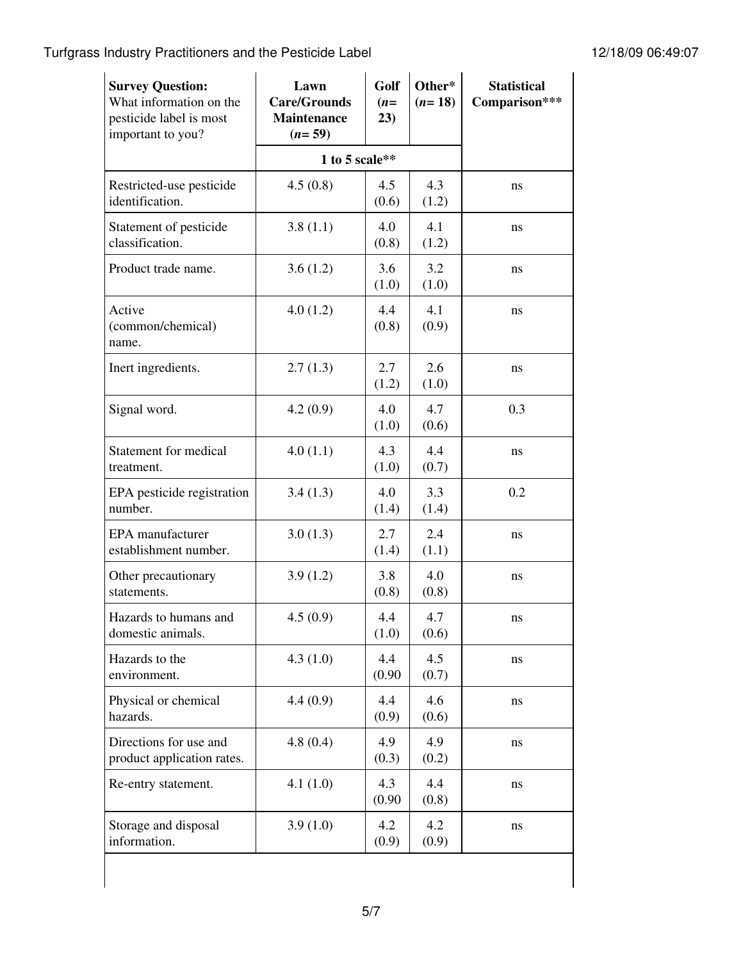Turfgrass Industry Practitioners and the Pesticide Label 12/18/09 06:49:07

| <b>Survey Question:</b><br>What information on the<br>pesticide label is most<br>important to you? | Lawn<br><b>Care/Grounds</b><br><b>Maintenance</b><br>$(n=59)$ | Golf<br>$(n=$<br>23) | Other*<br>$(n=18)$ | <b>Statistical</b><br>Comparison*** |  |
|----------------------------------------------------------------------------------------------------|---------------------------------------------------------------|----------------------|--------------------|-------------------------------------|--|
|                                                                                                    |                                                               | 1 to 5 scale $**$    |                    |                                     |  |
| Restricted-use pesticide<br>identification.                                                        | 4.5(0.8)                                                      | 4.5<br>(0.6)         | 4.3<br>(1.2)       | ns                                  |  |
| Statement of pesticide<br>classification.                                                          | 3.8(1.1)                                                      | 4.0<br>(0.8)         | 4.1<br>(1.2)       | ns                                  |  |
| Product trade name.                                                                                | 3.6(1.2)                                                      | 3.6<br>(1.0)         | 3.2<br>(1.0)       | ns                                  |  |
| Active<br>(common/chemical)<br>name.                                                               | 4.0(1.2)                                                      | 4.4<br>(0.8)         | 4.1<br>(0.9)       | ns                                  |  |
| Inert ingredients.                                                                                 | 2.7(1.3)                                                      | 2.7<br>(1.2)         | 2.6<br>(1.0)       | ns                                  |  |
| Signal word.                                                                                       | 4.2(0.9)                                                      | 4.0<br>(1.0)         | 4.7<br>(0.6)       | 0.3                                 |  |
| Statement for medical<br>treatment.                                                                | 4.0(1.1)                                                      | 4.3<br>(1.0)         | 4.4<br>(0.7)       | ns                                  |  |
| EPA pesticide registration<br>number.                                                              | 3.4(1.3)                                                      | 4.0<br>(1.4)         | 3.3<br>(1.4)       | 0.2                                 |  |
| EPA manufacturer<br>establishment number.                                                          | 3.0(1.3)                                                      | 2.7<br>(1.4)         | 2.4<br>(1.1)       | ns                                  |  |
| Other precautionary<br>statements.                                                                 | 3.9(1.2)                                                      | 3.8<br>(0.8)         | 4.0<br>(0.8)       | ns                                  |  |
| Hazards to humans and<br>domestic animals.                                                         | 4.5(0.9)                                                      | 4.4<br>(1.0)         | 4.7<br>(0.6)       | ns                                  |  |
| Hazards to the<br>environment.                                                                     | 4.3(1.0)                                                      | 4.4<br>(0.90)        | 4.5<br>(0.7)       | ns                                  |  |
| Physical or chemical<br>hazards.                                                                   | 4.4(0.9)                                                      | 4.4<br>(0.9)         | 4.6<br>(0.6)       | ns                                  |  |
| Directions for use and<br>product application rates.                                               | 4.8(0.4)                                                      | 4.9<br>(0.3)         | 4.9<br>(0.2)       | ns                                  |  |
| Re-entry statement.                                                                                | 4.1(1.0)                                                      | 4.3<br>(0.90)        | 4.4<br>(0.8)       | ns                                  |  |
| Storage and disposal<br>information.                                                               | 3.9(1.0)                                                      | 4.2<br>(0.9)         | 4.2<br>(0.9)       | ns                                  |  |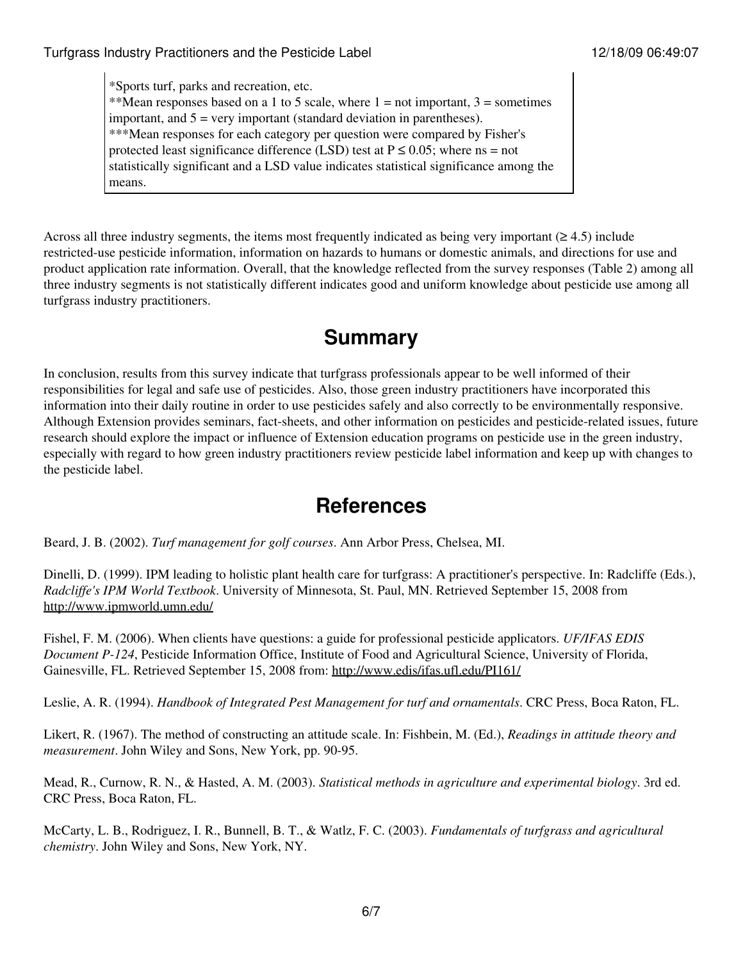\*Sports turf, parks and recreation, etc. \*\*Mean responses based on a 1 to 5 scale, where  $1 = not important$ ,  $3 = sometimes$ important, and  $5 = \text{very important}$  (standard deviation in parentheses). \*\*\*Mean responses for each category per question were compared by Fisher's protected least significance difference (LSD) test at  $P \le 0.05$ ; where ns = not statistically significant and a LSD value indicates statistical significance among the means.

Across all three industry segments, the items most frequently indicated as being very important  $(\geq 4.5)$  include restricted-use pesticide information, information on hazards to humans or domestic animals, and directions for use and product application rate information. Overall, that the knowledge reflected from the survey responses (Table 2) among all three industry segments is not statistically different indicates good and uniform knowledge about pesticide use among all turfgrass industry practitioners.

# **Summary**

In conclusion, results from this survey indicate that turfgrass professionals appear to be well informed of their responsibilities for legal and safe use of pesticides. Also, those green industry practitioners have incorporated this information into their daily routine in order to use pesticides safely and also correctly to be environmentally responsive. Although Extension provides seminars, fact-sheets, and other information on pesticides and pesticide-related issues, future research should explore the impact or influence of Extension education programs on pesticide use in the green industry, especially with regard to how green industry practitioners review pesticide label information and keep up with changes to the pesticide label.

## **References**

Beard, J. B. (2002). *Turf management for golf courses*. Ann Arbor Press, Chelsea, MI.

Dinelli, D. (1999). IPM leading to holistic plant health care for turfgrass: A practitioner's perspective. In: Radcliffe (Eds.), *Radcliffe's IPM World Textbook*. University of Minnesota, St. Paul, MN. Retrieved September 15, 2008 from <http://www.ipmworld.umn.edu/>

Fishel, F. M. (2006). When clients have questions: a guide for professional pesticide applicators. *UF/IFAS EDIS Document P-124*, Pesticide Information Office, Institute of Food and Agricultural Science, University of Florida, Gainesville, FL. Retrieved September 15, 2008 from: <http://www.edis/ifas.ufl.edu/PI161/>

Leslie, A. R. (1994). *Handbook of Integrated Pest Management for turf and ornamentals*. CRC Press, Boca Raton, FL.

Likert, R. (1967). The method of constructing an attitude scale. In: Fishbein, M. (Ed.), *Readings in attitude theory and measurement*. John Wiley and Sons, New York, pp. 90-95.

Mead, R., Curnow, R. N., & Hasted, A. M. (2003). *Statistical methods in agriculture and experimental biology*. 3rd ed. CRC Press, Boca Raton, FL.

McCarty, L. B., Rodriguez, I. R., Bunnell, B. T., & Watlz, F. C. (2003). *Fundamentals of turfgrass and agricultural chemistry*. John Wiley and Sons, New York, NY.